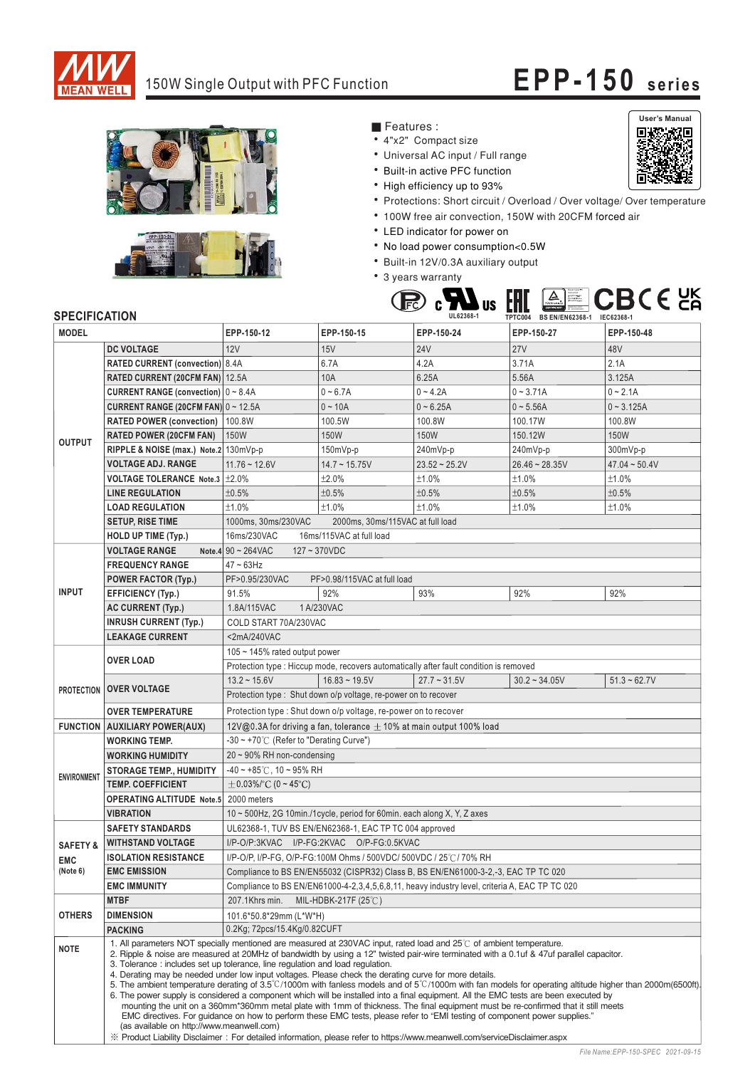

## 150W Single Output with PFC Function **EPP-150 series**

**User's Manual**

同

同



- Features :
- 4"x2" Compact size
- Universal AC input / Full range
- \* Built-in active PFC function
- High efficiency up to 93%
- Protections: Short circuit / Overload / Over voltage/ Over temperature
- 100W free air convection, 150W with 20CFM forced air
- LED indicator for power on
- No load power consumption<0.5W
- Built-in 12V/0.3A auxiliary output
- 3 years warranty



## **SPECIFICATION**

| <b>MODEL</b>        |                                                            | EPP-150-12                                                                                                                                                                                                                                                                                                                                                                                                                                                                                                                                                                                                                                                                                                                                                                                                                                                                                                                                                                                                                                                                                                                                                                                                                       | EPP-150-15                                                                             | EPP-150-24         | EPP-150-27       | EPP-150-48          |  |
|---------------------|------------------------------------------------------------|----------------------------------------------------------------------------------------------------------------------------------------------------------------------------------------------------------------------------------------------------------------------------------------------------------------------------------------------------------------------------------------------------------------------------------------------------------------------------------------------------------------------------------------------------------------------------------------------------------------------------------------------------------------------------------------------------------------------------------------------------------------------------------------------------------------------------------------------------------------------------------------------------------------------------------------------------------------------------------------------------------------------------------------------------------------------------------------------------------------------------------------------------------------------------------------------------------------------------------|----------------------------------------------------------------------------------------|--------------------|------------------|---------------------|--|
|                     | <b>DC VOLTAGE</b>                                          | 12V                                                                                                                                                                                                                                                                                                                                                                                                                                                                                                                                                                                                                                                                                                                                                                                                                                                                                                                                                                                                                                                                                                                                                                                                                              | 15V                                                                                    | <b>24V</b>         | <b>27V</b>       | 48V                 |  |
| <b>OUTPUT</b>       | <b>RATED CURRENT (convection)</b> 8.4A                     |                                                                                                                                                                                                                                                                                                                                                                                                                                                                                                                                                                                                                                                                                                                                                                                                                                                                                                                                                                                                                                                                                                                                                                                                                                  | 6.7A                                                                                   | 4.2A               | 3.71A            | 2.1A                |  |
|                     | RATED CURRENT (20CFM FAN) 12.5A                            |                                                                                                                                                                                                                                                                                                                                                                                                                                                                                                                                                                                                                                                                                                                                                                                                                                                                                                                                                                                                                                                                                                                                                                                                                                  | 10A                                                                                    | 6.25A              | 5.56A            | 3.125A              |  |
|                     | <b>CURRENT RANGE (convection)</b> $0 \sim 8.4$ A           |                                                                                                                                                                                                                                                                                                                                                                                                                                                                                                                                                                                                                                                                                                                                                                                                                                                                                                                                                                                                                                                                                                                                                                                                                                  | $0 - 6.7A$                                                                             | $0 - 4.2A$         | $0 - 3.71A$      | $0 - 2.1A$          |  |
|                     | <b>CURRENT RANGE (20CFM FAN) <math>0 \sim 12.5A</math></b> |                                                                                                                                                                                                                                                                                                                                                                                                                                                                                                                                                                                                                                                                                                                                                                                                                                                                                                                                                                                                                                                                                                                                                                                                                                  | $0 - 10A$                                                                              | $0 - 6.25A$        | $0 - 5.56A$      | $0 - 3.125A$        |  |
|                     | <b>RATED POWER (convection)</b>                            | 100.8W                                                                                                                                                                                                                                                                                                                                                                                                                                                                                                                                                                                                                                                                                                                                                                                                                                                                                                                                                                                                                                                                                                                                                                                                                           | 100.5W                                                                                 | 100.8W             | 100.17W          | 100.8W              |  |
|                     | <b>RATED POWER (20CFM FAN)</b>                             | <b>150W</b>                                                                                                                                                                                                                                                                                                                                                                                                                                                                                                                                                                                                                                                                                                                                                                                                                                                                                                                                                                                                                                                                                                                                                                                                                      | 150W                                                                                   | 150W               | 150.12W          | 150W                |  |
|                     | RIPPLE & NOISE (max.) Note.2 130mVp-p                      |                                                                                                                                                                                                                                                                                                                                                                                                                                                                                                                                                                                                                                                                                                                                                                                                                                                                                                                                                                                                                                                                                                                                                                                                                                  | $150mVp-p$                                                                             | 240mVp-p           | 240mVp-p         | 300mVp-p            |  |
|                     | <b>VOLTAGE ADJ. RANGE</b>                                  | $11.76 - 12.6V$                                                                                                                                                                                                                                                                                                                                                                                                                                                                                                                                                                                                                                                                                                                                                                                                                                                                                                                                                                                                                                                                                                                                                                                                                  | $14.7 \sim 15.75V$                                                                     | $23.52 \div 25.2V$ | $26.46 - 28.35V$ | $47.04 \sim 50.4$ V |  |
|                     | VOLTAGE TOLERANCE Note.3 ±2.0%                             |                                                                                                                                                                                                                                                                                                                                                                                                                                                                                                                                                                                                                                                                                                                                                                                                                                                                                                                                                                                                                                                                                                                                                                                                                                  | ±2.0%                                                                                  | ±1.0%              | ±1.0%            | ±1.0%               |  |
|                     | <b>LINE REGULATION</b>                                     | ±0.5%                                                                                                                                                                                                                                                                                                                                                                                                                                                                                                                                                                                                                                                                                                                                                                                                                                                                                                                                                                                                                                                                                                                                                                                                                            | ±0.5%                                                                                  | ±0.5%              | ±0.5%            | ±0.5%               |  |
|                     | <b>LOAD REGULATION</b>                                     | ±1.0%                                                                                                                                                                                                                                                                                                                                                                                                                                                                                                                                                                                                                                                                                                                                                                                                                                                                                                                                                                                                                                                                                                                                                                                                                            | ±1.0%                                                                                  | ±1.0%              | ±1.0%            | ±1.0%               |  |
|                     | <b>SETUP, RISE TIME</b>                                    | 1000ms, 30ms/230VAC                                                                                                                                                                                                                                                                                                                                                                                                                                                                                                                                                                                                                                                                                                                                                                                                                                                                                                                                                                                                                                                                                                                                                                                                              | 2000ms, 30ms/115VAC at full load                                                       |                    |                  |                     |  |
|                     | <b>HOLD UP TIME (Typ.)</b>                                 | 16ms/230VAC<br>16ms/115VAC at full load                                                                                                                                                                                                                                                                                                                                                                                                                                                                                                                                                                                                                                                                                                                                                                                                                                                                                                                                                                                                                                                                                                                                                                                          |                                                                                        |                    |                  |                     |  |
|                     | <b>VOLTAGE RANGE</b>                                       | Note.4 $90 \sim 264$ VAC<br>$127 - 370VDC$                                                                                                                                                                                                                                                                                                                                                                                                                                                                                                                                                                                                                                                                                                                                                                                                                                                                                                                                                                                                                                                                                                                                                                                       |                                                                                        |                    |                  |                     |  |
| <b>INPUT</b>        | <b>FREQUENCY RANGE</b>                                     | $47 \sim 63$ Hz                                                                                                                                                                                                                                                                                                                                                                                                                                                                                                                                                                                                                                                                                                                                                                                                                                                                                                                                                                                                                                                                                                                                                                                                                  |                                                                                        |                    |                  |                     |  |
|                     | <b>POWER FACTOR (Typ.)</b>                                 | PF>0.95/230VAC                                                                                                                                                                                                                                                                                                                                                                                                                                                                                                                                                                                                                                                                                                                                                                                                                                                                                                                                                                                                                                                                                                                                                                                                                   | PF>0.98/115VAC at full load                                                            |                    |                  |                     |  |
|                     | <b>EFFICIENCY (Typ.)</b>                                   | 91.5%                                                                                                                                                                                                                                                                                                                                                                                                                                                                                                                                                                                                                                                                                                                                                                                                                                                                                                                                                                                                                                                                                                                                                                                                                            | 92%                                                                                    | 93%                | 92%              | 92%                 |  |
|                     | <b>AC CURRENT (Typ.)</b>                                   | 1.8A/115VAC                                                                                                                                                                                                                                                                                                                                                                                                                                                                                                                                                                                                                                                                                                                                                                                                                                                                                                                                                                                                                                                                                                                                                                                                                      | 1 A/230VAC                                                                             |                    |                  |                     |  |
|                     | <b>INRUSH CURRENT (Typ.)</b>                               | COLD START 70A/230VAC                                                                                                                                                                                                                                                                                                                                                                                                                                                                                                                                                                                                                                                                                                                                                                                                                                                                                                                                                                                                                                                                                                                                                                                                            |                                                                                        |                    |                  |                     |  |
|                     | <b>LEAKAGE CURRENT</b>                                     | <2mA/240VAC                                                                                                                                                                                                                                                                                                                                                                                                                                                                                                                                                                                                                                                                                                                                                                                                                                                                                                                                                                                                                                                                                                                                                                                                                      |                                                                                        |                    |                  |                     |  |
|                     | <b>OVER LOAD</b>                                           | 105 $\sim$ 145% rated output power                                                                                                                                                                                                                                                                                                                                                                                                                                                                                                                                                                                                                                                                                                                                                                                                                                                                                                                                                                                                                                                                                                                                                                                               |                                                                                        |                    |                  |                     |  |
|                     |                                                            |                                                                                                                                                                                                                                                                                                                                                                                                                                                                                                                                                                                                                                                                                                                                                                                                                                                                                                                                                                                                                                                                                                                                                                                                                                  | Protection type : Hiccup mode, recovers automatically after fault condition is removed |                    |                  |                     |  |
|                     |                                                            | $13.2 \div 15.6V$                                                                                                                                                                                                                                                                                                                                                                                                                                                                                                                                                                                                                                                                                                                                                                                                                                                                                                                                                                                                                                                                                                                                                                                                                | $16.83 - 19.5V$                                                                        | $27.7 - 31.5V$     | $30.2 - 34.05V$  | $51.3 - 62.7V$      |  |
|                     | <b>PROTECTION OVER VOLTAGE</b>                             | Protection type : Shut down o/p voltage, re-power on to recover                                                                                                                                                                                                                                                                                                                                                                                                                                                                                                                                                                                                                                                                                                                                                                                                                                                                                                                                                                                                                                                                                                                                                                  |                                                                                        |                    |                  |                     |  |
|                     | <b>OVER TEMPERATURE</b>                                    | Protection type: Shut down o/p voltage, re-power on to recover                                                                                                                                                                                                                                                                                                                                                                                                                                                                                                                                                                                                                                                                                                                                                                                                                                                                                                                                                                                                                                                                                                                                                                   |                                                                                        |                    |                  |                     |  |
|                     | <b>FUNCTION AUXILIARY POWER(AUX)</b>                       | 12V@0.3A for driving a fan, tolerance $\pm$ 10% at main output 100% load                                                                                                                                                                                                                                                                                                                                                                                                                                                                                                                                                                                                                                                                                                                                                                                                                                                                                                                                                                                                                                                                                                                                                         |                                                                                        |                    |                  |                     |  |
|                     | <b>WORKING TEMP.</b>                                       | $-30 \sim +70^{\circ}$ (Refer to "Derating Curve")                                                                                                                                                                                                                                                                                                                                                                                                                                                                                                                                                                                                                                                                                                                                                                                                                                                                                                                                                                                                                                                                                                                                                                               |                                                                                        |                    |                  |                     |  |
| <b>ENVIRONMENT</b>  | <b>WORKING HUMIDITY</b>                                    | $20 \sim 90\%$ RH non-condensing                                                                                                                                                                                                                                                                                                                                                                                                                                                                                                                                                                                                                                                                                                                                                                                                                                                                                                                                                                                                                                                                                                                                                                                                 |                                                                                        |                    |                  |                     |  |
|                     | <b>STORAGE TEMP., HUMIDITY</b>                             | $-40 \sim +85^{\circ}$ C, 10 ~ 95% RH                                                                                                                                                                                                                                                                                                                                                                                                                                                                                                                                                                                                                                                                                                                                                                                                                                                                                                                                                                                                                                                                                                                                                                                            |                                                                                        |                    |                  |                     |  |
|                     | <b>TEMP. COEFFICIENT</b>                                   | $\pm$ 0.03%/°C (0 ~ 45°C)                                                                                                                                                                                                                                                                                                                                                                                                                                                                                                                                                                                                                                                                                                                                                                                                                                                                                                                                                                                                                                                                                                                                                                                                        |                                                                                        |                    |                  |                     |  |
|                     | <b>OPERATING ALTITUDE Note.5</b> 2000 meters               |                                                                                                                                                                                                                                                                                                                                                                                                                                                                                                                                                                                                                                                                                                                                                                                                                                                                                                                                                                                                                                                                                                                                                                                                                                  |                                                                                        |                    |                  |                     |  |
|                     | <b>VIBRATION</b>                                           | 10 ~ 500Hz, 2G 10min./1cycle, period for 60min. each along X, Y, Z axes                                                                                                                                                                                                                                                                                                                                                                                                                                                                                                                                                                                                                                                                                                                                                                                                                                                                                                                                                                                                                                                                                                                                                          |                                                                                        |                    |                  |                     |  |
|                     | <b>SAFETY STANDARDS</b>                                    | UL62368-1, TUV BS EN/EN62368-1, EAC TP TC 004 approved                                                                                                                                                                                                                                                                                                                                                                                                                                                                                                                                                                                                                                                                                                                                                                                                                                                                                                                                                                                                                                                                                                                                                                           |                                                                                        |                    |                  |                     |  |
| <b>SAFETY &amp;</b> | <b>WITHSTAND VOLTAGE</b>                                   | I/P-O/P:3KVAC I/P-FG:2KVAC O/P-FG:0.5KVAC                                                                                                                                                                                                                                                                                                                                                                                                                                                                                                                                                                                                                                                                                                                                                                                                                                                                                                                                                                                                                                                                                                                                                                                        |                                                                                        |                    |                  |                     |  |
| <b>EMC</b>          | <b>ISOLATION RESISTANCE</b>                                | I/P-O/P, I/P-FG, O/P-FG:100M Ohms / 500VDC/ 500VDC / 25°C / 70% RH                                                                                                                                                                                                                                                                                                                                                                                                                                                                                                                                                                                                                                                                                                                                                                                                                                                                                                                                                                                                                                                                                                                                                               |                                                                                        |                    |                  |                     |  |
| (Note 6)            | <b>EMC EMISSION</b>                                        | Compliance to BS EN/EN55032 (CISPR32) Class B, BS EN/EN61000-3-2,-3, EAC TP TC 020<br>Compliance to BS EN/EN61000-4-2,3,4,5,6,8,11, heavy industry level, criteria A, EAC TP TC 020                                                                                                                                                                                                                                                                                                                                                                                                                                                                                                                                                                                                                                                                                                                                                                                                                                                                                                                                                                                                                                              |                                                                                        |                    |                  |                     |  |
|                     | <b>EMC IMMUNITY</b>                                        |                                                                                                                                                                                                                                                                                                                                                                                                                                                                                                                                                                                                                                                                                                                                                                                                                                                                                                                                                                                                                                                                                                                                                                                                                                  |                                                                                        |                    |                  |                     |  |
|                     | <b>MTBF</b>                                                | 207.1Khrs min.<br>MIL-HDBK-217F $(25^{\circ}$ C)                                                                                                                                                                                                                                                                                                                                                                                                                                                                                                                                                                                                                                                                                                                                                                                                                                                                                                                                                                                                                                                                                                                                                                                 |                                                                                        |                    |                  |                     |  |
| <b>OTHERS</b>       | <b>DIMENSION</b>                                           | 101.6*50.8*29mm (L*W*H)                                                                                                                                                                                                                                                                                                                                                                                                                                                                                                                                                                                                                                                                                                                                                                                                                                                                                                                                                                                                                                                                                                                                                                                                          |                                                                                        |                    |                  |                     |  |
|                     | <b>PACKING</b>                                             | 0.2Kg; 72pcs/15.4Kg/0.82CUFT                                                                                                                                                                                                                                                                                                                                                                                                                                                                                                                                                                                                                                                                                                                                                                                                                                                                                                                                                                                                                                                                                                                                                                                                     |                                                                                        |                    |                  |                     |  |
| <b>NOTE</b>         |                                                            | 1. All parameters NOT specially mentioned are measured at 230VAC input, rated load and 25°C of ambient temperature.<br>2. Ripple & noise are measured at 20MHz of bandwidth by using a 12" twisted pair-wire terminated with a 0.1uf & 47uf parallel capacitor.<br>3. Tolerance: includes set up tolerance, line regulation and load regulation.<br>4. Derating may be needed under low input voltages. Please check the derating curve for more details.<br>5. The ambient temperature derating of $3.5^{\circ}$ C/1000m with fanless models and of $5^{\circ}$ C/1000m with fan models for operating altitude higher than 2000m(6500ft).<br>6. The power supply is considered a component which will be installed into a final equipment. All the EMC tests are been executed by<br>mounting the unit on a 360mm*360mm metal plate with 1mm of thickness. The final equipment must be re-confirmed that it still meets<br>EMC directives. For guidance on how to perform these EMC tests, please refer to "EMI testing of component power supplies."<br>(as available on http://www.meanwell.com)<br>X Product Liability Disclaimer: For detailed information, please refer to https://www.meanwell.com/serviceDisclaimer.aspx |                                                                                        |                    |                  |                     |  |